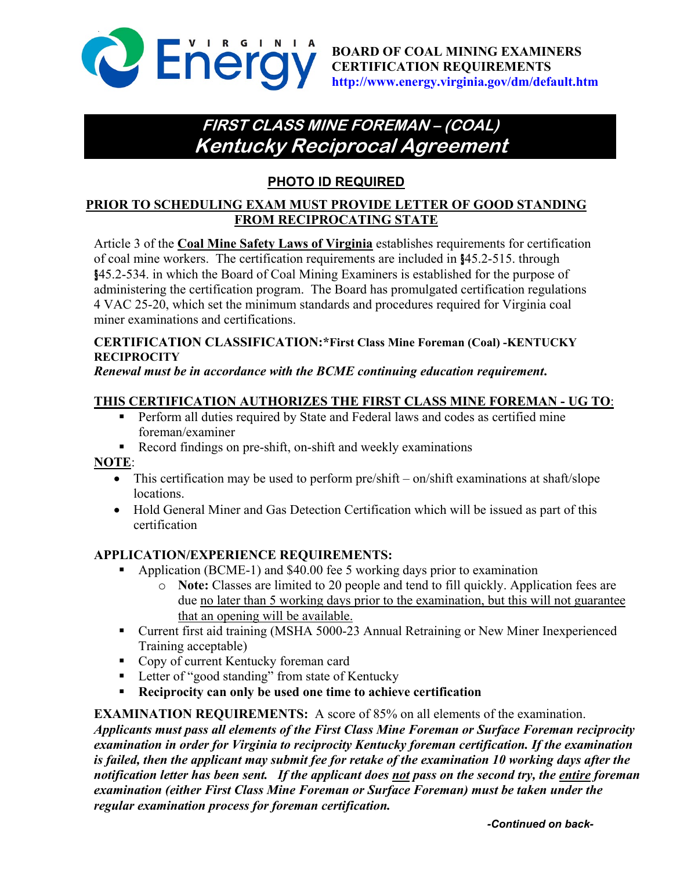

# **FIRST CLASS MINE FOREMAN – (COAL) Kentucky Reciprocal Agreement**

# **PHOTO ID REQUIRED**

#### **PRIOR TO SCHEDULING EXAM MUST PROVIDE LETTER OF GOOD STANDING FROM RECIPROCATING STATE**

Article 3 of the **Coal Mine Safety Laws of Virginia** establishes requirements for certification of coal mine workers. The certification requirements are included in §45.2-515. through §45.2-534. in which the Board of Coal Mining Examiners is established for the purpose of administering the certification program. The Board has promulgated certification regulations 4 VAC 25-20, which set the minimum standards and procedures required for Virginia coal miner examinations and certifications.

#### **CERTIFICATION CLASSIFICATION:\*First Class Mine Foreman (Coal) -KENTUCKY RECIPROCITY**

#### *Renewal must be in accordance with the BCME continuing education requirement***.**

### **THIS CERTIFICATION AUTHORIZES THE FIRST CLASS MINE FOREMAN - UG TO**:

- **Perform all duties required by State and Federal laws and codes as certified mine** foreman/examiner
- Record findings on pre-shift, on-shift and weekly examinations

#### **NOTE**:

- This certification may be used to perform pre/shift on/shift examinations at shaft/slope locations.
- Hold General Miner and Gas Detection Certification which will be issued as part of this certification

#### **APPLICATION/EXPERIENCE REQUIREMENTS:**

- Application (BCME-1) and \$40.00 fee 5 working days prior to examination
	- o **Note:** Classes are limited to 20 people and tend to fill quickly. Application fees are due no later than 5 working days prior to the examination, but this will not guarantee that an opening will be available.
- Current first aid training (MSHA 5000-23 Annual Retraining or New Miner Inexperienced Training acceptable)
- Copy of current Kentucky foreman card
- Letter of "good standing" from state of Kentucky
- **Reciprocity can only be used one time to achieve certification**

**EXAMINATION REQUIREMENTS:** A score of 85% on all elements of the examination.

*Applicants must pass all elements of the First Class Mine Foreman or Surface Foreman reciprocity examination in order for Virginia to reciprocity Kentucky foreman certification. If the examination is failed, then the applicant may submit fee for retake of the examination 10 working days after the notification letter has been sent. If the applicant does not pass on the second try, the entire foreman examination (either First Class Mine Foreman or Surface Foreman) must be taken under the regular examination process for foreman certification.*

*-Continued on back-*